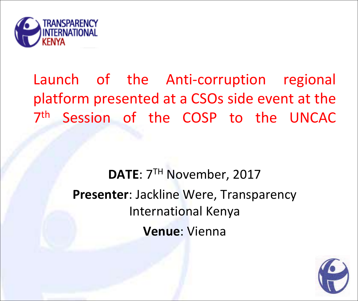

# Launch of the Anti-corruption regional platform presented at a CSOs side event at the 7<sup>th</sup> Session of the COSP to the UNCAC

## **DATE**: 7TH November, 2017 **Presenter**: Jackline Were, Transparency International Kenya **Venue**: Vienna

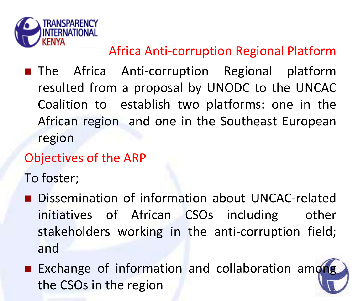

## Africa Anti-corruption Regional Platform

**The Africa Anti-corruption Regional platform** resulted from a proposal by UNODC to the UNCAC Coalition to establish two platforms: one in the African region and one in the Southeast European region

## Objectives of the ARP

To foster;

- Dissemination of information about UNCAC-related initiatives of African CSOs including other stakeholders working in the anti-corruption field; and
- **Exchange of information and collaboration among** the CSOs in the region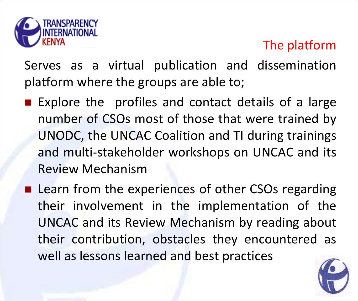

## The platform

<u>Europes as a virtual publi</u> Serves as a virtual publication and dissemination platform where the groups are able to;

- Explore the profiles and contact details of a large number of CSOs most of those that were trained by UNODC, the UNCAC Coalition and TI during trainings and multi-stakeholder workshops on UNCAC and its Review Mechanism
- **Learn from the experiences of other CSOs regarding** their involvement in the implementation of the UNCAC and its Review Mechanism by reading about their contribution, obstacles they encountered as well as lessons learned and best practices

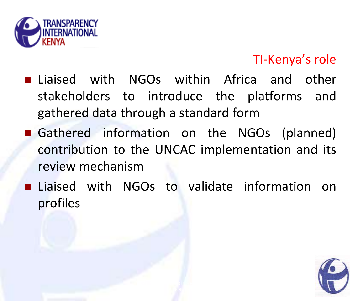

#### TI-Kenya's role

- **Liaised with NGOs within Africa and other** stakeholders to introduce the platforms and gathered data through a standard form
- Gathered information on the NGOs (planned) contribution to the UNCAC implementation and its review mechanism
- **Liaised with NGOs to validate information on** profiles

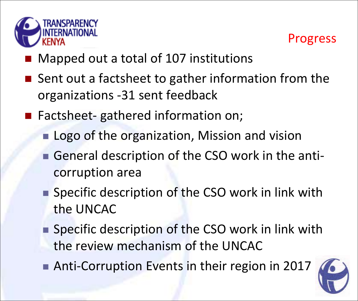



- Mapped out a total of 107 institutions
- Sent out a factsheet to gather information from the organizations -31 sent feedback
- Factsheet- gathered information on;
	- **Logo of the organization, Mission and vision**
	- General description of the CSO work in the anticorruption area
	- Specific description of the CSO work in link with the UNCAC
	- Specific description of the CSO work in link with the review mechanism of the UNCAC
	- Anti-Corruption Events in their region in 2017

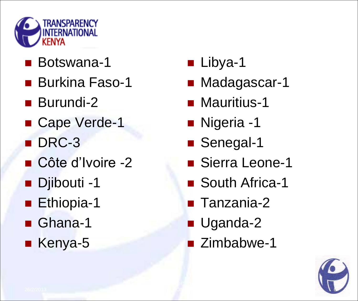

- Botswana-1
- **Burkina Faso-1**
- **Burundi-2**
- Cape Verde-1
- DRC-3
- Côte d'Ivoire -2
- **Dibouti-1**
- **Ethiopia-1**
- Ghana-1
- Kenya-5
- **Libya-1**
- **Madagascar-1**
- **Mauritius-1**
- **Nigeria -1**
- Senegal-1
- Sierra Leone-1
- South Africa-1
- Tanzania-2
- **Uganda-2**
- **Zimbabwe-1**

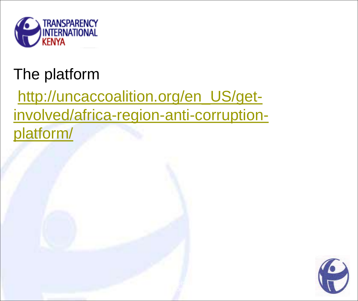

# The platform

http://uncaccoalition.org/en\_US/get[involved/africa-region-anti-corruption](http://uncaccoalition.org/en_US/get-involved/africa-region-anti-corruption-platform/)platform/